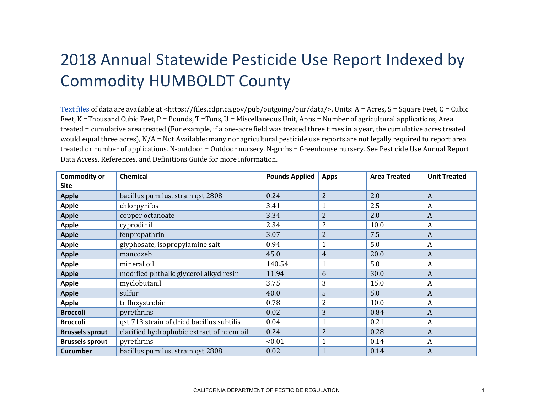## 2018 Annual Statewide Pesticide Use Report Indexed by Commodity HUMBOLDT County

[Text files](https://files.cdpr.ca.gov/pub/outgoing/pur/data/) of data are available at <https://files.cdpr.ca.gov/pub/outgoing/pur/data/>. Units: A = Acres, S = Square Feet, C = Cubic Feet, K = Thousand Cubic Feet, P = Pounds, T = Tons, U = Miscellaneous Unit, Apps = Number of agricultural applications, Area treated = cumulative area treated (For example, if a one-acre field was treated three times in a year, the cumulative acres treated would equal three acres),  $N/A = Not$  Available: many nonagricultural pesticide use reports are not legally required to report area treated or number of applications. N-outdoor = Outdoor nursery. N-grnhs = Greenhouse nursery. See Pesticide Use Annual Report Data Access, References, and Definitions Guide for more information.

| <b>Commodity or</b>    | <b>Chemical</b>                           | <b>Pounds Applied</b> | <b>Apps</b>    | <b>Area Treated</b> | <b>Unit Treated</b> |
|------------------------|-------------------------------------------|-----------------------|----------------|---------------------|---------------------|
| <b>Site</b>            |                                           |                       |                |                     |                     |
| <b>Apple</b>           | bacillus pumilus, strain qst 2808         | 0.24                  | $\overline{2}$ | 2.0                 | $\boldsymbol{A}$    |
| <b>Apple</b>           | chlorpyrifos                              | 3.41                  |                | 2.5                 | A                   |
| <b>Apple</b>           | copper octanoate                          | 3.34                  | $\overline{2}$ | 2.0                 | $\boldsymbol{A}$    |
| <b>Apple</b>           | cyprodinil                                | 2.34                  | $\overline{2}$ | 10.0                | A                   |
| <b>Apple</b>           | fenpropathrin                             | 3.07                  | $\overline{2}$ | 7.5                 | $\boldsymbol{A}$    |
| <b>Apple</b>           | glyphosate, isopropylamine salt           | 0.94                  |                | 5.0                 | A                   |
| <b>Apple</b>           | mancozeb                                  | 45.0                  | $\overline{4}$ | 20.0                | A                   |
| <b>Apple</b>           | mineral oil                               | 140.54                |                | 5.0                 | A                   |
| <b>Apple</b>           | modified phthalic glycerol alkyd resin    | 11.94                 | 6              | 30.0                | A                   |
| <b>Apple</b>           | myclobutanil                              | 3.75                  | 3              | 15.0                | A                   |
| <b>Apple</b>           | sulfur                                    | 40.0                  | 5              | 5.0                 | A                   |
| <b>Apple</b>           | trifloxystrobin                           | 0.78                  | 2              | 10.0                | A                   |
| <b>Broccoli</b>        | pyrethrins                                | 0.02                  | 3              | 0.84                | $\boldsymbol{A}$    |
| <b>Broccoli</b>        | qst 713 strain of dried bacillus subtilis | 0.04                  |                | 0.21                | A                   |
| <b>Brussels sprout</b> | clarified hydrophobic extract of neem oil | 0.24                  | 2              | 0.28                | $\boldsymbol{A}$    |
| <b>Brussels sprout</b> | pyrethrins                                | < 0.01                |                | 0.14                | $\boldsymbol{A}$    |
| <b>Cucumber</b>        | bacillus pumilus, strain qst 2808         | 0.02                  | 1              | 0.14                | A                   |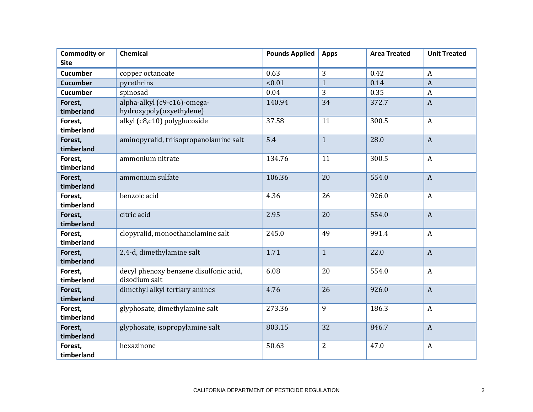| <b>Commodity or</b><br><b>Site</b> | Chemical                                                | <b>Pounds Applied</b> | <b>Apps</b>       | <b>Area Treated</b> | <b>Unit Treated</b>                |
|------------------------------------|---------------------------------------------------------|-----------------------|-------------------|---------------------|------------------------------------|
| <b>Cucumber</b>                    |                                                         | 0.63                  |                   |                     |                                    |
|                                    | copper octanoate                                        | < 0.01                | 3<br>$\mathbf{1}$ | 0.42<br>0.14        | $\boldsymbol{A}$<br>$\overline{A}$ |
| <b>Cucumber</b><br><b>Cucumber</b> | pyrethrins                                              | 0.04                  | 3                 | 0.35                | $\overline{A}$                     |
|                                    | spinosad                                                |                       |                   |                     |                                    |
| Forest,<br>timberland              | alpha-alkyl (c9-c16)-omega-<br>hydroxypoly(oxyethylene) | 140.94                | 34                | 372.7               | $\mathbf{A}$                       |
| Forest,<br>timberland              | alkyl (c8,c10) polyglucoside                            | 37.58                 | 11                | 300.5               | $\boldsymbol{A}$                   |
| Forest,<br>timberland              | aminopyralid, triisopropanolamine salt                  | 5.4                   | $\mathbf{1}$      | 28.0                | $\overline{A}$                     |
| Forest,<br>timberland              | ammonium nitrate                                        | 134.76                | 11                | 300.5               | $\boldsymbol{A}$                   |
| Forest,<br>timberland              | ammonium sulfate                                        | 106.36                | 20                | 554.0               | $\overline{A}$                     |
| Forest,<br>timberland              | benzoic acid                                            | 4.36                  | 26                | 926.0               | $\boldsymbol{A}$                   |
| Forest,<br>timberland              | citric acid                                             | 2.95                  | 20                | 554.0               | $\overline{A}$                     |
| Forest,<br>timberland              | clopyralid, monoethanolamine salt                       | 245.0                 | 49                | 991.4               | $\boldsymbol{A}$                   |
| Forest,<br>timberland              | 2,4-d, dimethylamine salt                               | 1.71                  | $\mathbf{1}$      | 22.0                | $\overline{A}$                     |
| Forest,<br>timberland              | decyl phenoxy benzene disulfonic acid,<br>disodium salt | 6.08                  | 20                | 554.0               | $\boldsymbol{A}$                   |
| Forest,<br>timberland              | dimethyl alkyl tertiary amines                          | 4.76                  | 26                | 926.0               | $\overline{A}$                     |
| Forest,<br>timberland              | glyphosate, dimethylamine salt                          | 273.36                | 9                 | 186.3               | $\boldsymbol{A}$                   |
| Forest,<br>timberland              | glyphosate, isopropylamine salt                         | 803.15                | 32                | 846.7               | $\overline{A}$                     |
| Forest,<br>timberland              | hexazinone                                              | 50.63                 | $\overline{2}$    | 47.0                | $\boldsymbol{A}$                   |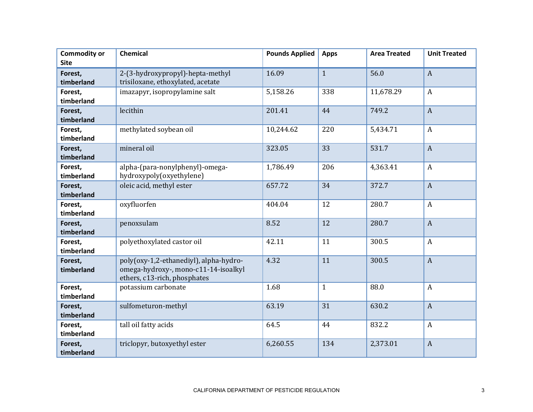| <b>Commodity or</b><br><b>Site</b> | Chemical                                                                                                       | <b>Pounds Applied</b> | <b>Apps</b>  | <b>Area Treated</b> | <b>Unit Treated</b> |
|------------------------------------|----------------------------------------------------------------------------------------------------------------|-----------------------|--------------|---------------------|---------------------|
| Forest,<br>timberland              | 2-(3-hydroxypropyl)-hepta-methyl<br>trisiloxane, ethoxylated, acetate                                          | 16.09                 | $\mathbf{1}$ | 56.0                | $\overline{A}$      |
| Forest,<br>timberland              | imazapyr, isopropylamine salt                                                                                  | 5,158.26              | 338          | 11,678.29           | $\boldsymbol{A}$    |
| Forest,<br>timberland              | lecithin                                                                                                       | 201.41                | 44           | 749.2               | $\overline{A}$      |
| Forest,<br>timberland              | methylated soybean oil                                                                                         | 10,244.62             | 220          | 5,434.71            | $\boldsymbol{A}$    |
| Forest,<br>timberland              | mineral oil                                                                                                    | 323.05                | 33           | 531.7               | $\overline{A}$      |
| Forest,<br>timberland              | alpha-(para-nonylphenyl)-omega-<br>hydroxypoly(oxyethylene)                                                    | 1,786.49              | 206          | 4,363.41            | $\overline{A}$      |
| Forest,<br>timberland              | oleic acid, methyl ester                                                                                       | 657.72                | 34           | 372.7               | $\overline{A}$      |
| Forest,<br>timberland              | oxyfluorfen                                                                                                    | 404.04                | 12           | 280.7               | $\mathbf{A}$        |
| Forest,<br>timberland              | penoxsulam                                                                                                     | 8.52                  | 12           | 280.7               | $\boldsymbol{A}$    |
| Forest,<br>timberland              | polyethoxylated castor oil                                                                                     | 42.11                 | 11           | 300.5               | $\overline{A}$      |
| Forest,<br>timberland              | poly(oxy-1,2-ethanediyl), alpha-hydro-<br>omega-hydroxy-, mono-c11-14-isoalkyl<br>ethers, c13-rich, phosphates | 4.32                  | 11           | 300.5               | $\overline{A}$      |
| Forest,<br>timberland              | potassium carbonate                                                                                            | 1.68                  | $\mathbf{1}$ | 88.0                | $\mathbf{A}$        |
| Forest,<br>timberland              | sulfometuron-methyl                                                                                            | 63.19                 | 31           | 630.2               | $\overline{A}$      |
| Forest,<br>timberland              | tall oil fatty acids                                                                                           | 64.5                  | 44           | 832.2               | $\mathbf{A}$        |
| Forest,<br>timberland              | triclopyr, butoxyethyl ester                                                                                   | 6,260.55              | 134          | 2,373.01            | $\overline{A}$      |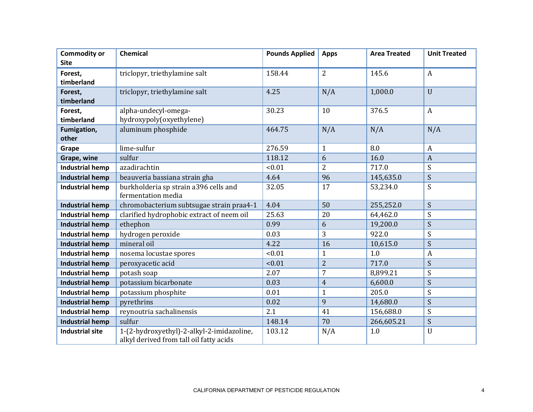| <b>Commodity or</b>    | <b>Chemical</b>                           | <b>Pounds Applied</b> | <b>Apps</b>    | <b>Area Treated</b> | <b>Unit Treated</b>       |
|------------------------|-------------------------------------------|-----------------------|----------------|---------------------|---------------------------|
| <b>Site</b>            |                                           |                       |                |                     |                           |
| Forest,                | triclopyr, triethylamine salt             | 158.44                | $\overline{2}$ | 145.6               | $\boldsymbol{A}$          |
| timberland             |                                           |                       |                |                     |                           |
| Forest,                | triclopyr, triethylamine salt             | 4.25                  | N/A            | 1,000.0             | $\overline{U}$            |
| timberland             |                                           |                       |                |                     |                           |
| Forest,                | alpha-undecyl-omega-                      | 30.23                 | 10             | 376.5               | $\boldsymbol{A}$          |
| timberland             | hydroxypoly(oxyethylene)                  |                       |                |                     |                           |
| Fumigation,            | aluminum phosphide                        | 464.75                | N/A            | N/A                 | N/A                       |
| other                  |                                           |                       |                |                     |                           |
| Grape                  | lime-sulfur                               | 276.59                | $\mathbf{1}$   | 8.0                 | $\boldsymbol{A}$          |
| Grape, wine            | sulfur                                    | 118.12                | 6              | 16.0                | $\overline{A}$            |
| <b>Industrial hemp</b> | azadirachtin                              | < 0.01                | 2              | 717.0               | S                         |
| <b>Industrial hemp</b> | beauveria bassiana strain gha             | 4.64                  | 96             | 145,635.0           | S                         |
| <b>Industrial hemp</b> | burkholderia sp strain a396 cells and     | 32.05                 | 17             | 53,234.0            | S                         |
|                        | fermentation media                        |                       |                |                     |                           |
| <b>Industrial hemp</b> | chromobacterium subtsugae strain praa4-1  | 4.04                  | 50             | 255,252.0           | S                         |
| <b>Industrial hemp</b> | clarified hydrophobic extract of neem oil | 25.63                 | 20             | 64,462.0            | S                         |
| <b>Industrial hemp</b> | ethephon                                  | 0.99                  | 6              | 19,200.0            | S                         |
| <b>Industrial hemp</b> | hydrogen peroxide                         | 0.03                  | 3              | 922.0               | S                         |
| <b>Industrial hemp</b> | mineral oil                               | 4.22                  | 16             | 10,615.0            | S                         |
| <b>Industrial hemp</b> | nosema locustae spores                    | < 0.01                | $\mathbf{1}$   | 1.0                 | A                         |
| <b>Industrial hemp</b> | peroxyacetic acid                         | < 0.01                | $\overline{2}$ | 717.0               | S                         |
| <b>Industrial hemp</b> | potash soap                               | 2.07                  | 7              | 8,899.21            | S                         |
| <b>Industrial hemp</b> | potassium bicarbonate                     | 0.03                  | $\overline{4}$ | 6,600.0             | S                         |
| <b>Industrial hemp</b> | potassium phosphite                       | 0.01                  | $\mathbf{1}$   | 205.0               | S                         |
| <b>Industrial hemp</b> | pyrethrins                                | 0.02                  | 9              | 14,680.0            | S                         |
| <b>Industrial hemp</b> | reynoutria sachalinensis                  | 2.1                   | 41             | 156,688.0           | $\boldsymbol{\mathsf{S}}$ |
| <b>Industrial hemp</b> | sulfur                                    | 148.14                | 70             | 266,605.21          | S                         |
| <b>Industrial site</b> | 1-(2-hydroxyethyl)-2-alkyl-2-imidazoline, | 103.12                | N/A            | 1.0                 | $\mathbf U$               |
|                        | alkyl derived from tall oil fatty acids   |                       |                |                     |                           |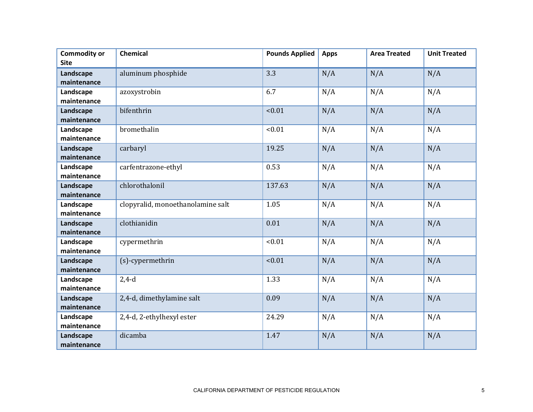| <b>Commodity or</b> | <b>Chemical</b>                   | <b>Pounds Applied</b> | <b>Apps</b> | <b>Area Treated</b> | <b>Unit Treated</b> |
|---------------------|-----------------------------------|-----------------------|-------------|---------------------|---------------------|
| <b>Site</b>         |                                   |                       |             |                     |                     |
| Landscape           | aluminum phosphide                | 3.3                   | N/A         | N/A                 | N/A                 |
| maintenance         |                                   |                       |             |                     |                     |
| Landscape           | azoxystrobin                      | 6.7                   | N/A         | N/A                 | N/A                 |
| maintenance         |                                   |                       |             |                     |                     |
| Landscape           | bifenthrin                        | < 0.01                | N/A         | N/A                 | N/A                 |
| maintenance         |                                   |                       |             |                     |                     |
| Landscape           | bromethalin                       | < 0.01                | N/A         | N/A                 | N/A                 |
| maintenance         |                                   |                       |             |                     |                     |
| Landscape           | carbaryl                          | 19.25                 | N/A         | N/A                 | N/A                 |
| maintenance         |                                   |                       |             |                     |                     |
| Landscape           | carfentrazone-ethyl               | 0.53                  | N/A         | N/A                 | N/A                 |
| maintenance         |                                   |                       |             |                     |                     |
| Landscape           | chlorothalonil                    | 137.63                | N/A         | N/A                 | N/A                 |
| maintenance         |                                   |                       |             |                     |                     |
| Landscape           | clopyralid, monoethanolamine salt | 1.05                  | N/A         | N/A                 | N/A                 |
| maintenance         |                                   |                       |             |                     |                     |
| Landscape           | clothianidin                      | 0.01                  | N/A         | N/A                 | N/A                 |
| maintenance         |                                   |                       |             |                     |                     |
| Landscape           | cypermethrin                      | < 0.01                | N/A         | N/A                 | N/A                 |
| maintenance         |                                   |                       |             |                     |                     |
| Landscape           | (s)-cypermethrin                  | < 0.01                | N/A         | N/A                 | N/A                 |
| maintenance         |                                   |                       |             |                     |                     |
| Landscape           | $2,4-d$                           | 1.33                  | N/A         | N/A                 | N/A                 |
| maintenance         |                                   |                       |             |                     |                     |
| Landscape           | 2,4-d, dimethylamine salt         | 0.09                  | N/A         | N/A                 | N/A                 |
| maintenance         |                                   |                       |             |                     |                     |
| Landscape           | 2,4-d, 2-ethylhexyl ester         | 24.29                 | N/A         | N/A                 | N/A                 |
| maintenance         |                                   |                       |             |                     |                     |
| Landscape           | dicamba                           | 1.47                  | N/A         | N/A                 | N/A                 |
| maintenance         |                                   |                       |             |                     |                     |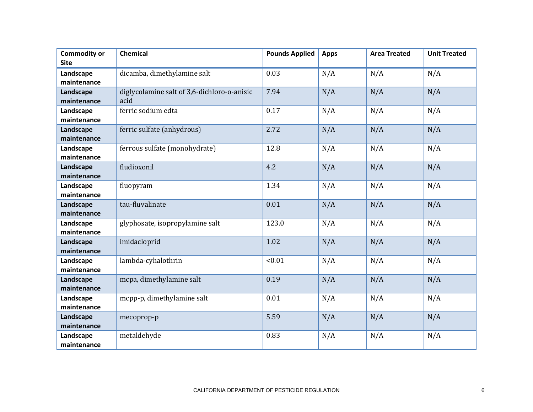| <b>Commodity or</b> | <b>Chemical</b>                             | <b>Pounds Applied</b> | <b>Apps</b> | <b>Area Treated</b> | <b>Unit Treated</b> |
|---------------------|---------------------------------------------|-----------------------|-------------|---------------------|---------------------|
| <b>Site</b>         |                                             |                       |             |                     |                     |
| Landscape           | dicamba, dimethylamine salt                 | 0.03                  | N/A         | N/A                 | N/A                 |
| maintenance         |                                             |                       |             |                     |                     |
| Landscape           | diglycolamine salt of 3,6-dichloro-o-anisic | 7.94                  | N/A         | N/A                 | N/A                 |
| maintenance         | acid                                        |                       |             |                     |                     |
| Landscape           | ferric sodium edta                          | 0.17                  | N/A         | N/A                 | N/A                 |
| maintenance         |                                             |                       |             |                     |                     |
| Landscape           | ferric sulfate (anhydrous)                  | 2.72                  | N/A         | N/A                 | N/A                 |
| maintenance         |                                             |                       |             |                     |                     |
| Landscape           | ferrous sulfate (monohydrate)               | 12.8                  | N/A         | N/A                 | N/A                 |
| maintenance         |                                             |                       |             |                     |                     |
| Landscape           | fludioxonil                                 | 4.2                   | N/A         | N/A                 | N/A                 |
| maintenance         |                                             |                       |             |                     |                     |
| Landscape           | fluopyram                                   | 1.34                  | N/A         | N/A                 | N/A                 |
| maintenance         |                                             |                       |             |                     |                     |
| Landscape           | tau-fluvalinate                             | 0.01                  | N/A         | N/A                 | N/A                 |
| maintenance         |                                             |                       |             |                     |                     |
| Landscape           | glyphosate, isopropylamine salt             | 123.0                 | N/A         | N/A                 | N/A                 |
| maintenance         |                                             |                       |             |                     |                     |
| Landscape           | imidacloprid                                | 1.02                  | N/A         | N/A                 | N/A                 |
| maintenance         |                                             |                       |             |                     |                     |
| Landscape           | lambda-cyhalothrin                          | < 0.01                | N/A         | N/A                 | N/A                 |
| maintenance         |                                             |                       |             |                     |                     |
| Landscape           | mcpa, dimethylamine salt                    | 0.19                  | N/A         | N/A                 | N/A                 |
| maintenance         |                                             |                       |             |                     |                     |
| Landscape           | mcpp-p, dimethylamine salt                  | 0.01                  | N/A         | N/A                 | N/A                 |
| maintenance         |                                             |                       |             |                     |                     |
| Landscape           | mecoprop-p                                  | 5.59                  | N/A         | N/A                 | N/A                 |
| maintenance         |                                             |                       |             |                     |                     |
| Landscape           | metaldehyde                                 | 0.83                  | N/A         | N/A                 | N/A                 |
| maintenance         |                                             |                       |             |                     |                     |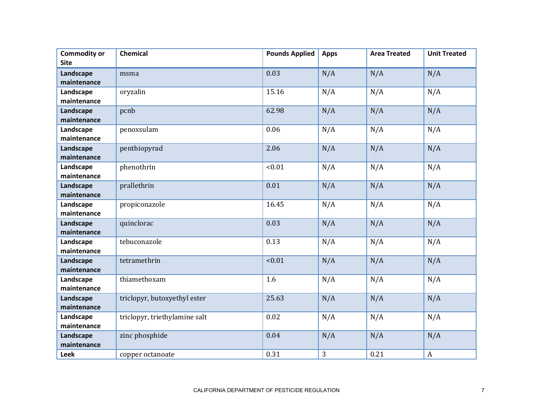| <b>Commodity or</b>      | <b>Chemical</b>               | <b>Pounds Applied</b> | <b>Apps</b> | <b>Area Treated</b> | <b>Unit Treated</b> |
|--------------------------|-------------------------------|-----------------------|-------------|---------------------|---------------------|
| <b>Site</b>              |                               |                       |             |                     |                     |
| Landscape                | msma                          | 0.03                  | N/A         | N/A                 | N/A                 |
| maintenance              |                               |                       |             |                     |                     |
| Landscape                | oryzalin                      | 15.16                 | N/A         | N/A                 | N/A                 |
| maintenance              |                               |                       |             |                     |                     |
| Landscape                | pcnb                          | 62.98                 | N/A         | N/A                 | N/A                 |
| maintenance              |                               |                       |             |                     |                     |
| Landscape                | penoxsulam                    | 0.06                  | N/A         | N/A                 | N/A                 |
| maintenance              |                               |                       |             |                     |                     |
| Landscape                | penthiopyrad                  | 2.06                  | N/A         | N/A                 | N/A                 |
| maintenance              |                               |                       |             |                     |                     |
| Landscape                | phenothrin                    | < 0.01                | N/A         | N/A                 | N/A                 |
| maintenance              |                               |                       |             |                     |                     |
| Landscape                | prallethrin                   | 0.01                  | N/A         | N/A                 | N/A                 |
| maintenance              |                               |                       |             |                     |                     |
| Landscape                | propiconazole                 | 16.45                 | N/A         | N/A                 | N/A                 |
| maintenance              |                               |                       |             |                     |                     |
| Landscape                | quinclorac                    | 0.03                  | N/A         | N/A                 | N/A                 |
| maintenance              |                               |                       |             |                     |                     |
| Landscape                | tebuconazole                  | 0.13                  | N/A         | N/A                 | N/A                 |
| maintenance              |                               |                       |             |                     |                     |
| Landscape<br>maintenance | tetramethrin                  | < 0.01                | N/A         | N/A                 | N/A                 |
|                          | thiamethoxam                  | 1.6                   |             |                     |                     |
| Landscape<br>maintenance |                               |                       | N/A         | N/A                 | N/A                 |
| Landscape                | triclopyr, butoxyethyl ester  | 25.63                 | N/A         | N/A                 | N/A                 |
| maintenance              |                               |                       |             |                     |                     |
| Landscape                | triclopyr, triethylamine salt | 0.02                  | N/A         | N/A                 | N/A                 |
| maintenance              |                               |                       |             |                     |                     |
| Landscape                | zinc phosphide                | 0.04                  | N/A         | N/A                 | N/A                 |
| maintenance              |                               |                       |             |                     |                     |
| <b>Leek</b>              | copper octanoate              | 0.31                  | 3           | 0.21                | $\boldsymbol{A}$    |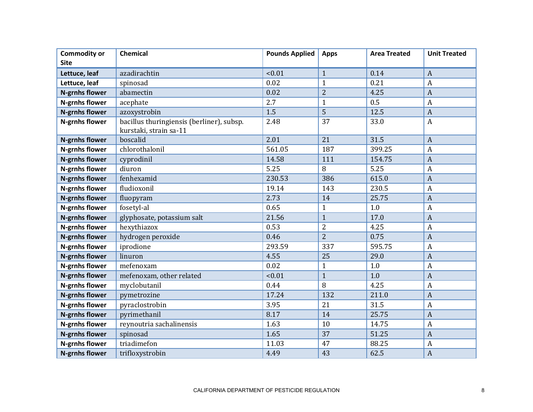| <b>Commodity or</b><br><b>Site</b> | Chemical                                                            | <b>Pounds Applied</b> | <b>Apps</b>    | <b>Area Treated</b> | <b>Unit Treated</b> |
|------------------------------------|---------------------------------------------------------------------|-----------------------|----------------|---------------------|---------------------|
| Lettuce, leaf                      | azadirachtin                                                        | < 0.01                | $\mathbf{1}$   | 0.14                | $\boldsymbol{A}$    |
| Lettuce, leaf                      | spinosad                                                            | 0.02                  | $\mathbf{1}$   | 0.21                | $\mathbf{A}$        |
| <b>N-grnhs flower</b>              | abamectin                                                           | 0.02                  | $\overline{2}$ | 4.25                | $\overline{A}$      |
| <b>N-grnhs flower</b>              | acephate                                                            | 2.7                   | $\mathbf{1}$   | 0.5                 | $\mathbf{A}$        |
| <b>N-grnhs flower</b>              | azoxystrobin                                                        | 1.5                   | 5              | 12.5                | $\overline{A}$      |
| N-grnhs flower                     | bacillus thuringiensis (berliner), subsp.<br>kurstaki, strain sa-11 | 2.48                  | 37             | 33.0                | $\boldsymbol{A}$    |
| <b>N-grnhs flower</b>              | boscalid                                                            | 2.01                  | 21             | 31.5                | $\mathbf{A}$        |
| <b>N-grnhs flower</b>              | chlorothalonil                                                      | 561.05                | 187            | 399.25              | $\boldsymbol{A}$    |
| <b>N-grnhs flower</b>              | cyprodinil                                                          | 14.58                 | 111            | 154.75              | $\overline{A}$      |
| N-grnhs flower                     | diuron                                                              | 5.25                  | 8              | 5.25                | $\boldsymbol{A}$    |
| <b>N-grnhs flower</b>              | fenhexamid                                                          | 230.53                | 386            | 615.0               | $\overline{A}$      |
| N-grnhs flower                     | fludioxonil                                                         | 19.14                 | 143            | 230.5               | $\mathbf{A}$        |
| <b>N-grnhs flower</b>              | fluopyram                                                           | 2.73                  | 14             | 25.75               | $\boldsymbol{A}$    |
| N-grnhs flower                     | fosetyl-al                                                          | 0.65                  | $\mathbf{1}$   | 1.0                 | $\overline{A}$      |
| <b>N-grnhs flower</b>              | glyphosate, potassium salt                                          | 21.56                 | $\overline{1}$ | 17.0                | $\overline{A}$      |
| N-grnhs flower                     | hexythiazox                                                         | 0.53                  | 2              | 4.25                | $\boldsymbol{A}$    |
| N-grnhs flower                     | hydrogen peroxide                                                   | 0.46                  | $\overline{2}$ | 0.75                | $\overline{A}$      |
| N-grnhs flower                     | iprodione                                                           | 293.59                | 337            | 595.75              | $\mathbf{A}$        |
| N-grnhs flower                     | linuron                                                             | 4.55                  | 25             | 29.0                | $\boldsymbol{A}$    |
| N-grnhs flower                     | mefenoxam                                                           | 0.02                  | $\mathbf{1}$   | 1.0                 | $\boldsymbol{A}$    |
| <b>N-grnhs flower</b>              | mefenoxam, other related                                            | < 0.01                | $\overline{1}$ | 1.0                 | $\overline{A}$      |
| N-grnhs flower                     | myclobutanil                                                        | 0.44                  | 8              | 4.25                | $\overline{A}$      |
| N-grnhs flower                     | pymetrozine                                                         | 17.24                 | 132            | 211.0               | $\boldsymbol{A}$    |
| N-grnhs flower                     | pyraclostrobin                                                      | 3.95                  | 21             | 31.5                | $\overline{A}$      |
| <b>N-grnhs flower</b>              | pyrimethanil                                                        | 8.17                  | 14             | 25.75               | $\overline{A}$      |
| N-grnhs flower                     | reynoutria sachalinensis                                            | 1.63                  | 10             | 14.75               | $\boldsymbol{A}$    |
| <b>N-grnhs flower</b>              | spinosad                                                            | 1.65                  | 37             | 51.25               | $\overline{A}$      |
| N-grnhs flower                     | triadimefon                                                         | 11.03                 | 47             | 88.25               | $\boldsymbol{A}$    |
| N-grnhs flower                     | trifloxystrobin                                                     | 4.49                  | 43             | 62.5                | $\boldsymbol{A}$    |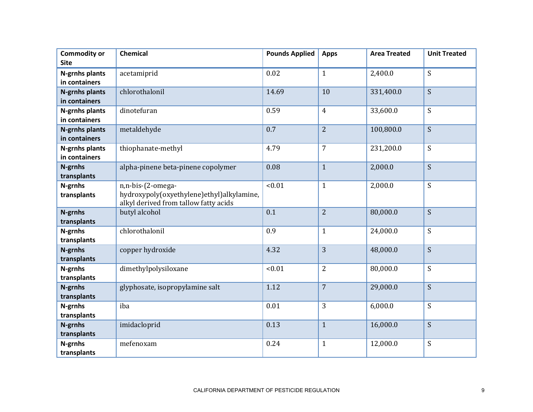| <b>Commodity or</b><br><b>Site</b>     | <b>Chemical</b>                                                                                         | <b>Pounds Applied</b> | <b>Apps</b>    | <b>Area Treated</b> | <b>Unit Treated</b> |
|----------------------------------------|---------------------------------------------------------------------------------------------------------|-----------------------|----------------|---------------------|---------------------|
| N-grnhs plants<br>in containers        | acetamiprid                                                                                             | 0.02                  | $\mathbf{1}$   | 2,400.0             | S                   |
| <b>N-grnhs plants</b><br>in containers | chlorothalonil                                                                                          | 14.69                 | 10             | 331,400.0           | S                   |
| N-grnhs plants<br>in containers        | dinotefuran                                                                                             | 0.59                  | $\overline{4}$ | 33,600.0            | S                   |
| N-grnhs plants<br>in containers        | metaldehyde                                                                                             | 0.7                   | $\overline{2}$ | 100,800.0           | S                   |
| N-grnhs plants<br>in containers        | thiophanate-methyl                                                                                      | 4.79                  | $\overline{7}$ | 231,200.0           | S                   |
| N-grnhs<br>transplants                 | alpha-pinene beta-pinene copolymer                                                                      | 0.08                  | $\mathbf{1}$   | 2,000.0             | S                   |
| N-grnhs<br>transplants                 | n,n-bis-(2-omega-<br>hydroxypoly(oxyethylene)ethyl)alkylamine,<br>alkyl derived from tallow fatty acids | < 0.01                | $\mathbf{1}$   | 2,000.0             | S                   |
| N-grnhs<br>transplants                 | butyl alcohol                                                                                           | 0.1                   | $\overline{2}$ | 80,000.0            | S                   |
| N-grnhs<br>transplants                 | chlorothalonil                                                                                          | 0.9                   | $\mathbf{1}$   | 24,000.0            | S                   |
| N-grnhs<br>transplants                 | copper hydroxide                                                                                        | 4.32                  | 3              | 48,000.0            | S                   |
| N-grnhs<br>transplants                 | dimethylpolysiloxane                                                                                    | < 0.01                | $\overline{2}$ | 80,000.0            | S                   |
| N-grnhs<br>transplants                 | glyphosate, isopropylamine salt                                                                         | 1.12                  | $\overline{7}$ | 29,000.0            | S                   |
| N-grnhs<br>transplants                 | iba                                                                                                     | 0.01                  | 3              | 6,000.0             | S                   |
| N-grnhs<br>transplants                 | imidacloprid                                                                                            | 0.13                  | $\mathbf{1}$   | 16,000.0            | S                   |
| N-grnhs<br>transplants                 | mefenoxam                                                                                               | 0.24                  | $\mathbf{1}$   | 12,000.0            | S                   |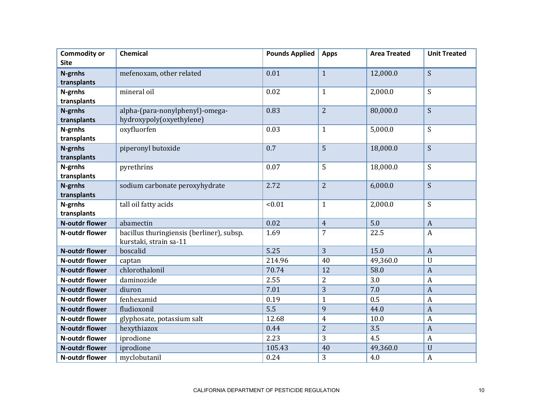| <b>Commodity or</b>    | Chemical                                  | <b>Pounds Applied</b> | <b>Apps</b>    | <b>Area Treated</b> | <b>Unit Treated</b> |
|------------------------|-------------------------------------------|-----------------------|----------------|---------------------|---------------------|
| <b>Site</b>            |                                           |                       |                |                     |                     |
| N-grnhs                | mefenoxam, other related                  | 0.01                  | $\mathbf{1}$   | 12,000.0            | $\boldsymbol{S}$    |
| transplants            |                                           |                       |                |                     |                     |
| N-grnhs                | mineral oil                               | 0.02                  | $\mathbf{1}$   | 2,000.0             | S                   |
| transplants            |                                           |                       |                |                     |                     |
| N-grnhs                | alpha-(para-nonylphenyl)-omega-           | 0.83                  | $\overline{2}$ | 80,000.0            | S                   |
| transplants            | hydroxypoly(oxyethylene)                  |                       |                |                     |                     |
| N-grnhs                | oxyfluorfen                               | 0.03                  | $\mathbf{1}$   | 5,000.0             | S                   |
| transplants            |                                           |                       |                |                     |                     |
| N-grnhs                | piperonyl butoxide                        | 0.7                   | 5              | 18,000.0            | S                   |
| transplants            |                                           |                       |                |                     |                     |
| N-grnhs                | pyrethrins                                | 0.07                  | 5              | 18,000.0            | S                   |
| transplants            |                                           |                       |                |                     |                     |
| N-grnhs<br>transplants | sodium carbonate peroxyhydrate            | 2.72                  | $\overline{2}$ | 6,000.0             | S                   |
|                        | tall oil fatty acids                      | < 0.01                | $\mathbf{1}$   | 2,000.0             | S                   |
| N-grnhs<br>transplants |                                           |                       |                |                     |                     |
| <b>N-outdr flower</b>  | abamectin                                 | 0.02                  | $\overline{4}$ | 5.0                 | $\overline{A}$      |
| N-outdr flower         | bacillus thuringiensis (berliner), subsp. | 1.69                  | 7              | 22.5                | $\boldsymbol{A}$    |
|                        | kurstaki, strain sa-11                    |                       |                |                     |                     |
| <b>N-outdr flower</b>  | boscalid                                  | 5.25                  | 3              | 15.0                | $\overline{A}$      |
| N-outdr flower         | captan                                    | 214.96                | 40             | 49,360.0            | $\mathbf U$         |
| <b>N-outdr flower</b>  | chlorothalonil                            | 70.74                 | 12             | 58.0                | $\overline{A}$      |
| N-outdr flower         | daminozide                                | 2.55                  | $\overline{2}$ | 3.0                 | $\boldsymbol{A}$    |
| <b>N-outdr flower</b>  | diuron                                    | 7.01                  | 3              | 7.0                 | $\overline{A}$      |
| N-outdr flower         | fenhexamid                                | 0.19                  | $\mathbf{1}$   | 0.5                 | $\boldsymbol{A}$    |
| <b>N-outdr flower</b>  | fludioxonil                               | 5.5                   | 9              | 44.0                | $\overline{A}$      |
| N-outdr flower         | glyphosate, potassium salt                | 12.68                 | $\overline{4}$ | 10.0                | $\boldsymbol{A}$    |
| <b>N-outdr flower</b>  | hexythiazox                               | 0.44                  | $\overline{2}$ | 3.5                 | $\overline{A}$      |
| N-outdr flower         | iprodione                                 | 2.23                  | 3              | 4.5                 | $\overline{A}$      |
| <b>N-outdr flower</b>  | iprodione                                 | 105.43                | 40             | 49,360.0            | $\mathbf{U}$        |
| N-outdr flower         | myclobutanil                              | 0.24                  | 3              | 4.0                 | $\boldsymbol{A}$    |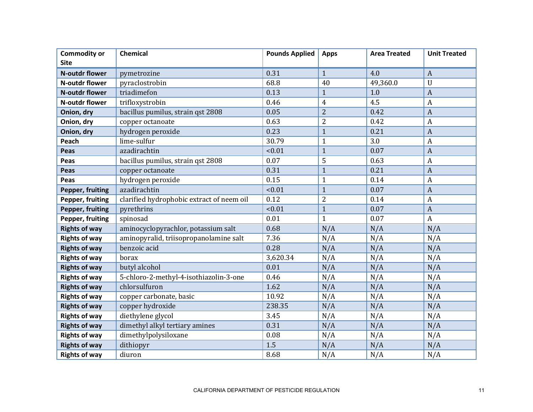| <b>Commodity or</b>   | Chemical                                  | <b>Pounds Applied</b> | <b>Apps</b>    | <b>Area Treated</b> | <b>Unit Treated</b> |
|-----------------------|-------------------------------------------|-----------------------|----------------|---------------------|---------------------|
| <b>Site</b>           |                                           |                       |                |                     |                     |
| <b>N-outdr flower</b> | pymetrozine                               | 0.31                  | $\mathbf{1}$   | 4.0                 | $\boldsymbol{A}$    |
| N-outdr flower        | pyraclostrobin                            | 68.8                  | 40             | 49,360.0            | U                   |
| N-outdr flower        | triadimefon                               | 0.13                  | $\mathbf{1}$   | 1.0                 | $\overline{A}$      |
| N-outdr flower        | trifloxystrobin                           | 0.46                  | 4              | 4.5                 | A                   |
| Onion, dry            | bacillus pumilus, strain qst 2808         | 0.05                  | $\overline{2}$ | 0.42                | $\boldsymbol{A}$    |
| Onion, dry            | copper octanoate                          | 0.63                  | $\overline{2}$ | 0.42                | A                   |
| Onion, dry            | hydrogen peroxide                         | 0.23                  | $\mathbf{1}$   | 0.21                | $\boldsymbol{A}$    |
| Peach                 | lime-sulfur                               | 30.79                 | $\mathbf{1}$   | 3.0                 | A                   |
| Peas                  | azadirachtin                              | < 0.01                | $\mathbf{1}$   | 0.07                | $\overline{A}$      |
| Peas                  | bacillus pumilus, strain qst 2808         | 0.07                  | 5              | 0.63                | A                   |
| Peas                  | copper octanoate                          | 0.31                  | $\mathbf{1}$   | 0.21                | $\overline{A}$      |
| Peas                  | hydrogen peroxide                         | 0.15                  | $\mathbf{1}$   | 0.14                | A                   |
| Pepper, fruiting      | azadirachtin                              | < 0.01                | $\mathbf{1}$   | 0.07                | $\boldsymbol{A}$    |
| Pepper, fruiting      | clarified hydrophobic extract of neem oil | 0.12                  | $\overline{2}$ | 0.14                | $\boldsymbol{A}$    |
| Pepper, fruiting      | pyrethrins                                | < 0.01                | $\mathbf{1}$   | 0.07                | $\boldsymbol{A}$    |
| Pepper, fruiting      | spinosad                                  | 0.01                  | $\mathbf{1}$   | 0.07                | $\boldsymbol{A}$    |
| <b>Rights of way</b>  | aminocyclopyrachlor, potassium salt       | 0.68                  | N/A            | N/A                 | N/A                 |
| <b>Rights of way</b>  | aminopyralid, triisopropanolamine salt    | 7.36                  | N/A            | N/A                 | N/A                 |
| <b>Rights of way</b>  | benzoic acid                              | 0.28                  | N/A            | N/A                 | N/A                 |
| <b>Rights of way</b>  | borax                                     | 3,620.34              | N/A            | N/A                 | N/A                 |
| <b>Rights of way</b>  | butyl alcohol                             | 0.01                  | N/A            | N/A                 | N/A                 |
| <b>Rights of way</b>  | 5-chloro-2-methyl-4-isothiazolin-3-one    | 0.46                  | N/A            | N/A                 | N/A                 |
| <b>Rights of way</b>  | chlorsulfuron                             | 1.62                  | N/A            | N/A                 | N/A                 |
| <b>Rights of way</b>  | copper carbonate, basic                   | 10.92                 | N/A            | N/A                 | N/A                 |
| <b>Rights of way</b>  | copper hydroxide                          | 238.35                | N/A            | N/A                 | N/A                 |
| <b>Rights of way</b>  | diethylene glycol                         | 3.45                  | N/A            | N/A                 | N/A                 |
| <b>Rights of way</b>  | dimethyl alkyl tertiary amines            | 0.31                  | N/A            | N/A                 | N/A                 |
| <b>Rights of way</b>  | dimethylpolysiloxane                      | 0.08                  | N/A            | N/A                 | N/A                 |
| <b>Rights of way</b>  | dithiopyr                                 | 1.5                   | N/A            | N/A                 | N/A                 |
| <b>Rights of way</b>  | diuron                                    | 8.68                  | N/A            | N/A                 | N/A                 |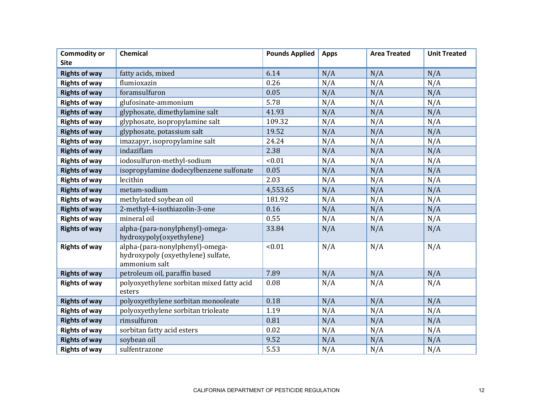| <b>Commodity or</b>  | Chemical                                                                               | <b>Pounds Applied</b> | <b>Apps</b> | <b>Area Treated</b> | <b>Unit Treated</b> |
|----------------------|----------------------------------------------------------------------------------------|-----------------------|-------------|---------------------|---------------------|
| <b>Site</b>          |                                                                                        |                       |             |                     |                     |
| <b>Rights of way</b> | fatty acids, mixed                                                                     | 6.14                  | N/A         | N/A                 | N/A                 |
| <b>Rights of way</b> | flumioxazin                                                                            | 0.26                  | N/A         | N/A                 | N/A                 |
| <b>Rights of way</b> | foramsulfuron                                                                          | 0.05                  | N/A         | N/A                 | N/A                 |
| <b>Rights of way</b> | glufosinate-ammonium                                                                   | 5.78                  | N/A         | N/A                 | N/A                 |
| <b>Rights of way</b> | glyphosate, dimethylamine salt                                                         | 41.93                 | N/A         | N/A                 | N/A                 |
| <b>Rights of way</b> | glyphosate, isopropylamine salt                                                        | 109.32                | N/A         | N/A                 | N/A                 |
| <b>Rights of way</b> | glyphosate, potassium salt                                                             | 19.52                 | N/A         | N/A                 | N/A                 |
| <b>Rights of way</b> | imazapyr, isopropylamine salt                                                          | 24.24                 | N/A         | N/A                 | N/A                 |
| <b>Rights of way</b> | indaziflam                                                                             | 2.38                  | N/A         | N/A                 | N/A                 |
| <b>Rights of way</b> | iodosulfuron-methyl-sodium                                                             | < 0.01                | N/A         | N/A                 | N/A                 |
| <b>Rights of way</b> | isopropylamine dodecylbenzene sulfonate                                                | 0.05                  | N/A         | N/A                 | N/A                 |
| <b>Rights of way</b> | lecithin                                                                               | 2.03                  | N/A         | N/A                 | N/A                 |
| <b>Rights of way</b> | metam-sodium                                                                           | 4,553.65              | N/A         | N/A                 | N/A                 |
| <b>Rights of way</b> | methylated soybean oil                                                                 | 181.92                | N/A         | N/A                 | N/A                 |
| <b>Rights of way</b> | 2-methyl-4-isothiazolin-3-one                                                          | 0.16                  | N/A         | N/A                 | N/A                 |
| <b>Rights of way</b> | mineral oil                                                                            | 0.55                  | N/A         | N/A                 | N/A                 |
| <b>Rights of way</b> | alpha-(para-nonylphenyl)-omega-<br>hydroxypoly(oxyethylene)                            | 33.84                 | N/A         | N/A                 | N/A                 |
| <b>Rights of way</b> | alpha-(para-nonylphenyl)-omega-<br>hydroxypoly (oxyethylene) sulfate,<br>ammonium salt | < 0.01                | N/A         | N/A                 | N/A                 |
| <b>Rights of way</b> | petroleum oil, paraffin based                                                          | 7.89                  | N/A         | N/A                 | N/A                 |
| <b>Rights of way</b> | polyoxyethylene sorbitan mixed fatty acid<br>esters                                    | 0.08                  | N/A         | N/A                 | N/A                 |
| <b>Rights of way</b> | polyoxyethylene sorbitan monooleate                                                    | 0.18                  | N/A         | N/A                 | N/A                 |
| <b>Rights of way</b> | polyoxyethylene sorbitan trioleate                                                     | 1.19                  | N/A         | N/A                 | N/A                 |
| <b>Rights of way</b> | rimsulfuron                                                                            | 0.81                  | N/A         | N/A                 | N/A                 |
| <b>Rights of way</b> | sorbitan fatty acid esters                                                             | 0.02                  | N/A         | N/A                 | N/A                 |
| <b>Rights of way</b> | soybean oil                                                                            | 9.52                  | N/A         | N/A                 | N/A                 |
| <b>Rights of way</b> | sulfentrazone                                                                          | 5.53                  | N/A         | N/A                 | N/A                 |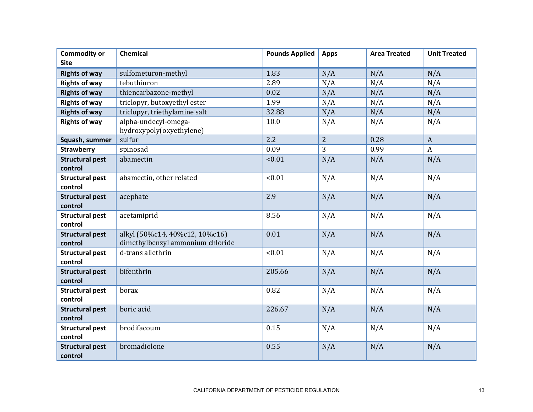| <b>Commodity or</b>               | <b>Chemical</b>                                                    | <b>Pounds Applied</b> | <b>Apps</b>    | <b>Area Treated</b> | <b>Unit Treated</b> |
|-----------------------------------|--------------------------------------------------------------------|-----------------------|----------------|---------------------|---------------------|
| <b>Site</b>                       |                                                                    |                       |                |                     |                     |
| <b>Rights of way</b>              | sulfometuron-methyl                                                | 1.83                  | N/A            | N/A                 | N/A                 |
| <b>Rights of way</b>              | tebuthiuron                                                        | 2.89                  | N/A            | N/A                 | N/A                 |
| <b>Rights of way</b>              | thiencarbazone-methyl                                              | 0.02                  | N/A            | N/A                 | N/A                 |
| <b>Rights of way</b>              | triclopyr, butoxyethyl ester                                       | 1.99                  | N/A            | N/A                 | N/A                 |
| <b>Rights of way</b>              | triclopyr, triethylamine salt                                      | 32.88                 | N/A            | N/A                 | N/A                 |
| <b>Rights of way</b>              | alpha-undecyl-omega-<br>hydroxypoly(oxyethylene)                   | 10.0                  | N/A            | N/A                 | N/A                 |
| Squash, summer                    | sulfur                                                             | 2.2                   | $\overline{2}$ | 0.28                | $\mathbf{A}$        |
| <b>Strawberry</b>                 | spinosad                                                           | 0.09                  | 3              | 0.99                | $\boldsymbol{A}$    |
| <b>Structural pest</b><br>control | abamectin                                                          | < 0.01                | N/A            | N/A                 | N/A                 |
| <b>Structural pest</b><br>control | abamectin, other related                                           | < 0.01                | N/A            | N/A                 | N/A                 |
| <b>Structural pest</b><br>control | acephate                                                           | 2.9                   | N/A            | N/A                 | N/A                 |
| <b>Structural pest</b><br>control | acetamiprid                                                        | 8.56                  | N/A            | N/A                 | N/A                 |
| <b>Structural pest</b><br>control | alkyl (50%c14, 40%c12, 10%c16)<br>dimethylbenzyl ammonium chloride | 0.01                  | N/A            | N/A                 | N/A                 |
| <b>Structural pest</b><br>control | d-trans allethrin                                                  | < 0.01                | N/A            | N/A                 | N/A                 |
| <b>Structural pest</b><br>control | bifenthrin                                                         | 205.66                | N/A            | N/A                 | N/A                 |
| <b>Structural pest</b><br>control | borax                                                              | 0.82                  | N/A            | N/A                 | N/A                 |
| <b>Structural pest</b><br>control | boric acid                                                         | 226.67                | N/A            | N/A                 | N/A                 |
| <b>Structural pest</b><br>control | brodifacoum                                                        | 0.15                  | N/A            | N/A                 | N/A                 |
| <b>Structural pest</b><br>control | bromadiolone                                                       | 0.55                  | N/A            | N/A                 | N/A                 |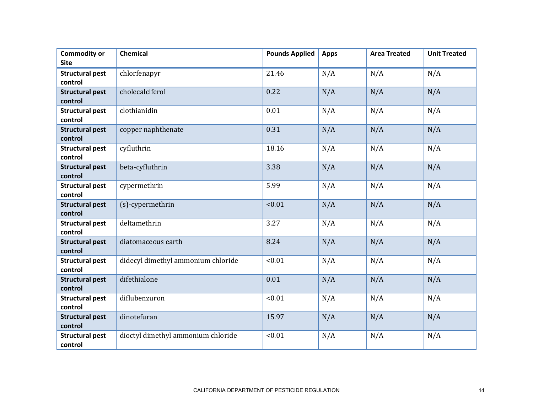| <b>Commodity or</b><br><b>Site</b> | <b>Chemical</b>                    | <b>Pounds Applied</b> | <b>Apps</b> | <b>Area Treated</b> | <b>Unit Treated</b> |
|------------------------------------|------------------------------------|-----------------------|-------------|---------------------|---------------------|
| <b>Structural pest</b><br>control  | chlorfenapyr                       | 21.46                 | N/A         | N/A                 | N/A                 |
| <b>Structural pest</b><br>control  | cholecalciferol                    | 0.22                  | N/A         | N/A                 | N/A                 |
| <b>Structural pest</b><br>control  | clothianidin                       | 0.01                  | N/A         | N/A                 | N/A                 |
| <b>Structural pest</b><br>control  | copper naphthenate                 | 0.31                  | N/A         | N/A                 | N/A                 |
| <b>Structural pest</b><br>control  | cyfluthrin                         | 18.16                 | N/A         | N/A                 | N/A                 |
| <b>Structural pest</b><br>control  | beta-cyfluthrin                    | 3.38                  | N/A         | N/A                 | N/A                 |
| <b>Structural pest</b><br>control  | cypermethrin                       | 5.99                  | N/A         | N/A                 | N/A                 |
| <b>Structural pest</b><br>control  | (s)-cypermethrin                   | < 0.01                | N/A         | N/A                 | N/A                 |
| <b>Structural pest</b><br>control  | deltamethrin                       | 3.27                  | N/A         | N/A                 | N/A                 |
| <b>Structural pest</b><br>control  | diatomaceous earth                 | 8.24                  | N/A         | N/A                 | N/A                 |
| <b>Structural pest</b><br>control  | didecyl dimethyl ammonium chloride | < 0.01                | N/A         | N/A                 | N/A                 |
| <b>Structural pest</b><br>control  | difethialone                       | 0.01                  | N/A         | N/A                 | N/A                 |
| <b>Structural pest</b><br>control  | diflubenzuron                      | < 0.01                | N/A         | N/A                 | N/A                 |
| <b>Structural pest</b><br>control  | dinotefuran                        | 15.97                 | N/A         | N/A                 | N/A                 |
| <b>Structural pest</b><br>control  | dioctyl dimethyl ammonium chloride | < 0.01                | N/A         | N/A                 | N/A                 |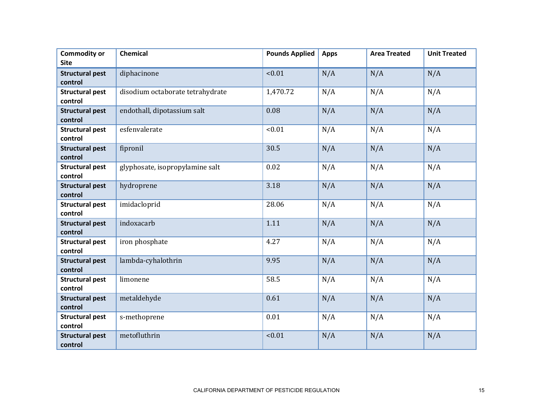| <b>Commodity or</b><br><b>Site</b> | <b>Chemical</b>                  | <b>Pounds Applied</b> | <b>Apps</b> | <b>Area Treated</b> | <b>Unit Treated</b> |
|------------------------------------|----------------------------------|-----------------------|-------------|---------------------|---------------------|
|                                    |                                  |                       |             |                     |                     |
| <b>Structural pest</b>             | diphacinone                      | < 0.01                | N/A         | N/A                 | N/A                 |
| control                            |                                  |                       |             |                     |                     |
| <b>Structural pest</b>             | disodium octaborate tetrahydrate | 1,470.72              | N/A         | N/A                 | N/A                 |
| control                            |                                  |                       |             |                     |                     |
| <b>Structural pest</b>             | endothall, dipotassium salt      | 0.08                  | N/A         | N/A                 | N/A                 |
| control                            |                                  |                       |             |                     |                     |
| <b>Structural pest</b>             | esfenvalerate                    | < 0.01                | N/A         | N/A                 | N/A                 |
| control                            |                                  |                       |             |                     |                     |
| <b>Structural pest</b>             | fipronil                         | 30.5                  | N/A         | N/A                 | N/A                 |
| control                            |                                  |                       |             |                     |                     |
| <b>Structural pest</b>             | glyphosate, isopropylamine salt  | 0.02                  | N/A         | N/A                 | N/A                 |
| control                            |                                  |                       |             |                     |                     |
|                                    |                                  | 3.18                  | N/A         |                     |                     |
| <b>Structural pest</b>             | hydroprene                       |                       |             | N/A                 | N/A                 |
| control                            |                                  |                       |             |                     |                     |
| <b>Structural pest</b>             | imidacloprid                     | 28.06                 | N/A         | N/A                 | N/A                 |
| control                            |                                  |                       |             |                     |                     |
| <b>Structural pest</b>             | indoxacarb                       | 1.11                  | N/A         | N/A                 | N/A                 |
| control                            |                                  |                       |             |                     |                     |
| <b>Structural pest</b>             | iron phosphate                   | 4.27                  | N/A         | N/A                 | N/A                 |
| control                            |                                  |                       |             |                     |                     |
| <b>Structural pest</b>             | lambda-cyhalothrin               | 9.95                  | N/A         | N/A                 | N/A                 |
| control                            |                                  |                       |             |                     |                     |
| <b>Structural pest</b>             | limonene                         | 58.5                  | N/A         | N/A                 | N/A                 |
| control                            |                                  |                       |             |                     |                     |
| <b>Structural pest</b>             | metaldehyde                      | 0.61                  | N/A         | N/A                 | N/A                 |
| control                            |                                  |                       |             |                     |                     |
| <b>Structural pest</b>             | s-methoprene                     | 0.01                  | N/A         | N/A                 | N/A                 |
| control                            |                                  |                       |             |                     |                     |
| <b>Structural pest</b>             | metofluthrin                     | < 0.01                | N/A         | N/A                 | N/A                 |
| control                            |                                  |                       |             |                     |                     |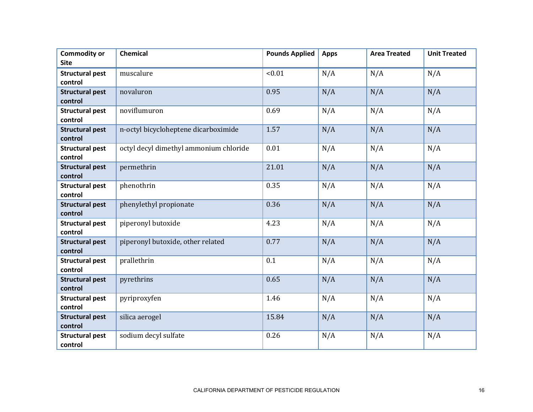| <b>Commodity or</b><br><b>Site</b> | <b>Chemical</b>                        | <b>Pounds Applied</b> | <b>Apps</b> | <b>Area Treated</b> | <b>Unit Treated</b> |
|------------------------------------|----------------------------------------|-----------------------|-------------|---------------------|---------------------|
| <b>Structural pest</b><br>control  | muscalure                              | < 0.01                | N/A         | N/A                 | N/A                 |
| <b>Structural pest</b><br>control  | novaluron                              | 0.95                  | N/A         | N/A                 | N/A                 |
| <b>Structural pest</b><br>control  | noviflumuron                           | 0.69                  | N/A         | N/A                 | N/A                 |
| <b>Structural pest</b><br>control  | n-octyl bicycloheptene dicarboximide   | 1.57                  | N/A         | N/A                 | N/A                 |
| <b>Structural pest</b><br>control  | octyl decyl dimethyl ammonium chloride | 0.01                  | N/A         | N/A                 | N/A                 |
| <b>Structural pest</b><br>control  | permethrin                             | 21.01                 | N/A         | N/A                 | N/A                 |
| <b>Structural pest</b><br>control  | phenothrin                             | 0.35                  | N/A         | N/A                 | N/A                 |
| <b>Structural pest</b><br>control  | phenylethyl propionate                 | 0.36                  | N/A         | N/A                 | N/A                 |
| <b>Structural pest</b><br>control  | piperonyl butoxide                     | 4.23                  | N/A         | N/A                 | N/A                 |
| <b>Structural pest</b><br>control  | piperonyl butoxide, other related      | 0.77                  | N/A         | N/A                 | N/A                 |
| <b>Structural pest</b><br>control  | prallethrin                            | 0.1                   | N/A         | N/A                 | N/A                 |
| <b>Structural pest</b><br>control  | pyrethrins                             | 0.65                  | N/A         | N/A                 | N/A                 |
| <b>Structural pest</b><br>control  | pyriproxyfen                           | 1.46                  | N/A         | N/A                 | N/A                 |
| <b>Structural pest</b><br>control  | silica aerogel                         | 15.84                 | N/A         | N/A                 | N/A                 |
| <b>Structural pest</b><br>control  | sodium decyl sulfate                   | 0.26                  | N/A         | N/A                 | N/A                 |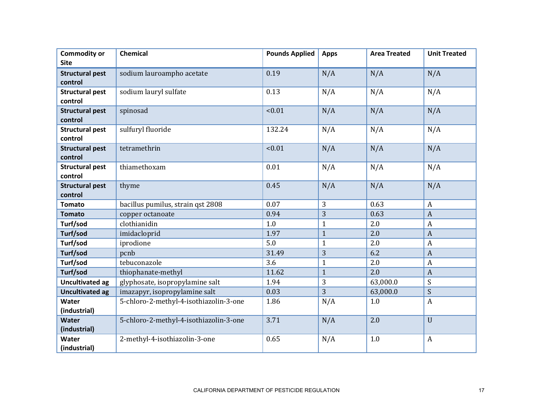| <b>Commodity or</b>               | Chemical                               | <b>Pounds Applied</b> | <b>Apps</b>    | <b>Area Treated</b> | <b>Unit Treated</b> |
|-----------------------------------|----------------------------------------|-----------------------|----------------|---------------------|---------------------|
| <b>Site</b>                       |                                        |                       |                |                     |                     |
| <b>Structural pest</b>            | sodium lauroampho acetate              | 0.19                  | N/A            | N/A                 | N/A                 |
| control                           |                                        |                       |                |                     |                     |
| <b>Structural pest</b>            | sodium lauryl sulfate                  | 0.13                  | N/A            | N/A                 | N/A                 |
| control                           |                                        |                       |                |                     |                     |
| <b>Structural pest</b>            | spinosad                               | < 0.01                | N/A            | N/A                 | N/A                 |
| control                           |                                        |                       |                |                     |                     |
| <b>Structural pest</b>            | sulfuryl fluoride                      | 132.24                | N/A            | N/A                 | N/A                 |
| control                           |                                        |                       |                |                     |                     |
| <b>Structural pest</b><br>control | tetramethrin                           | < 0.01                | N/A            | N/A                 | N/A                 |
| <b>Structural pest</b>            | thiamethoxam                           | 0.01                  | N/A            | N/A                 | N/A                 |
| control                           |                                        |                       |                |                     |                     |
| <b>Structural pest</b>            | thyme                                  | 0.45                  | N/A            | N/A                 | N/A                 |
| control                           |                                        |                       |                |                     |                     |
| <b>Tomato</b>                     | bacillus pumilus, strain qst 2808      | 0.07                  | 3              | 0.63                | $\boldsymbol{A}$    |
| <b>Tomato</b>                     | copper octanoate                       | 0.94                  | 3              | 0.63                | $\overline{A}$      |
| Turf/sod                          | clothianidin                           | 1.0                   | $\overline{1}$ | 2.0                 | $\boldsymbol{A}$    |
| Turf/sod                          | imidacloprid                           | 1.97                  | $\mathbf{1}$   | 2.0                 | $\overline{A}$      |
| Turf/sod                          | iprodione                              | 5.0                   | $\mathbf{1}$   | 2.0                 | $\boldsymbol{A}$    |
| Turf/sod                          | pcnb                                   | 31.49                 | 3              | 6.2                 | $\boldsymbol{A}$    |
| Turf/sod                          | tebuconazole                           | 3.6                   | $\mathbf{1}$   | 2.0                 | $\overline{A}$      |
| Turf/sod                          | thiophanate-methyl                     | 11.62                 | $\mathbf{1}$   | 2.0                 | $\overline{A}$      |
| <b>Uncultivated ag</b>            | glyphosate, isopropylamine salt        | 1.94                  | 3              | 63,000.0            | S                   |
| <b>Uncultivated ag</b>            | imazapyr, isopropylamine salt          | 0.03                  | 3              | 63,000.0            | S                   |
| Water                             | 5-chloro-2-methyl-4-isothiazolin-3-one | 1.86                  | N/A            | 1.0                 | $\boldsymbol{A}$    |
| (industrial)                      |                                        |                       |                |                     |                     |
| Water                             | 5-chloro-2-methyl-4-isothiazolin-3-one | 3.71                  | N/A            | 2.0                 | $\mathbf U$         |
| (industrial)                      |                                        |                       |                |                     |                     |
| Water                             | 2-methyl-4-isothiazolin-3-one          | 0.65                  | N/A            | 1.0                 | $\boldsymbol{A}$    |
| (industrial)                      |                                        |                       |                |                     |                     |